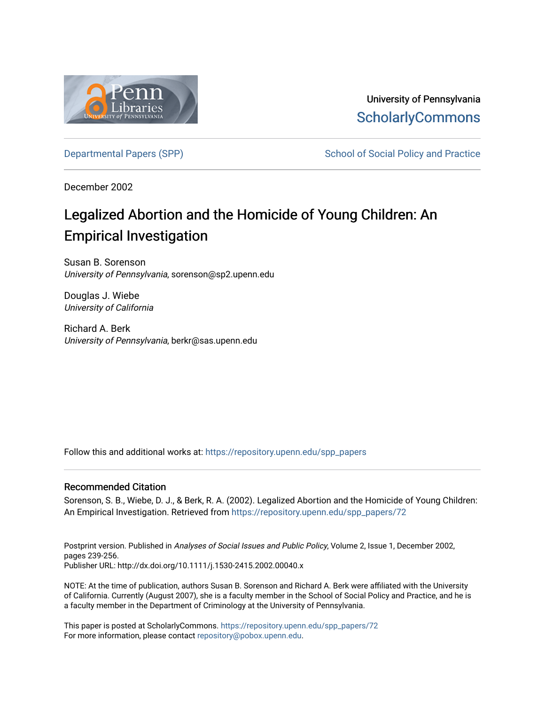

University of Pennsylvania **ScholarlyCommons** 

[Departmental Papers \(SPP\)](https://repository.upenn.edu/spp_papers) The School of Social Policy and Practice

December 2002

# Legalized Abortion and the Homicide of Young Children: An Empirical Investigation

Susan B. Sorenson University of Pennsylvania, sorenson@sp2.upenn.edu

Douglas J. Wiebe University of California

Richard A. Berk University of Pennsylvania, berkr@sas.upenn.edu

Follow this and additional works at: [https://repository.upenn.edu/spp\\_papers](https://repository.upenn.edu/spp_papers?utm_source=repository.upenn.edu%2Fspp_papers%2F72&utm_medium=PDF&utm_campaign=PDFCoverPages) 

#### Recommended Citation

Sorenson, S. B., Wiebe, D. J., & Berk, R. A. (2002). Legalized Abortion and the Homicide of Young Children: An Empirical Investigation. Retrieved from [https://repository.upenn.edu/spp\\_papers/72](https://repository.upenn.edu/spp_papers/72?utm_source=repository.upenn.edu%2Fspp_papers%2F72&utm_medium=PDF&utm_campaign=PDFCoverPages) 

Postprint version. Published in Analyses of Social Issues and Public Policy, Volume 2, Issue 1, December 2002, pages 239-256. Publisher URL: http://dx.doi.org/10.1111/j.1530-2415.2002.00040.x

NOTE: At the time of publication, authors Susan B. Sorenson and Richard A. Berk were affiliated with the University of California. Currently (August 2007), she is a faculty member in the School of Social Policy and Practice, and he is a faculty member in the Department of Criminology at the University of Pennsylvania.

This paper is posted at ScholarlyCommons. [https://repository.upenn.edu/spp\\_papers/72](https://repository.upenn.edu/spp_papers/72)  For more information, please contact [repository@pobox.upenn.edu.](mailto:repository@pobox.upenn.edu)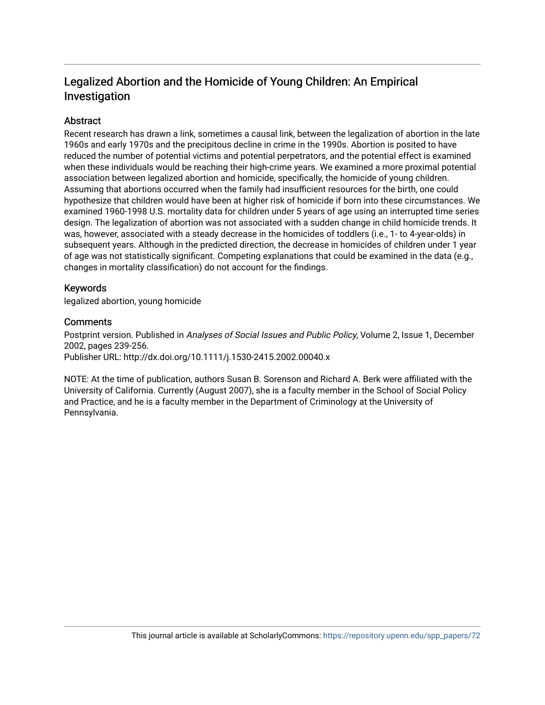# Legalized Abortion and the Homicide of Young Children: An Empirical Investigation

# **Abstract**

Recent research has drawn a link, sometimes a causal link, between the legalization of abortion in the late 1960s and early 1970s and the precipitous decline in crime in the 1990s. Abortion is posited to have reduced the number of potential victims and potential perpetrators, and the potential effect is examined when these individuals would be reaching their high-crime years. We examined a more proximal potential association between legalized abortion and homicide, specifically, the homicide of young children. Assuming that abortions occurred when the family had insufficient resources for the birth, one could hypothesize that children would have been at higher risk of homicide if born into these circumstances. We examined 1960-1998 U.S. mortality data for children under 5 years of age using an interrupted time series design. The legalization of abortion was not associated with a sudden change in child homicide trends. It was, however, associated with a steady decrease in the homicides of toddlers (i.e., 1- to 4-year-olds) in subsequent years. Although in the predicted direction, the decrease in homicides of children under 1 year of age was not statistically significant. Competing explanations that could be examined in the data (e.g., changes in mortality classification) do not account for the findings.

## Keywords

legalized abortion, young homicide

#### **Comments**

Postprint version. Published in Analyses of Social Issues and Public Policy, Volume 2, Issue 1, December 2002, pages 239-256. Publisher URL: http://dx.doi.org/10.1111/j.1530-2415.2002.00040.x

NOTE: At the time of publication, authors Susan B. Sorenson and Richard A. Berk were affiliated with the University of California. Currently (August 2007), she is a faculty member in the School of Social Policy and Practice, and he is a faculty member in the Department of Criminology at the University of Pennsylvania.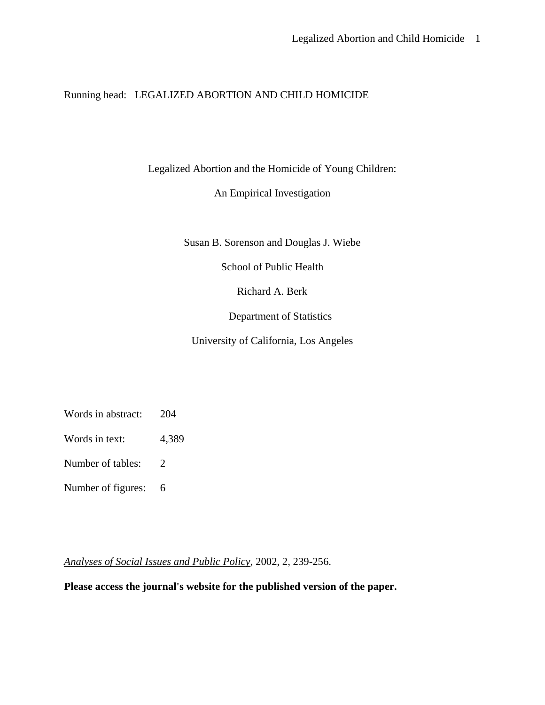Running head: LEGALIZED ABORTION AND CHILD HOMICIDE

Legalized Abortion and the Homicide of Young Children:

An Empirical Investigation

Susan B. Sorenson and Douglas J. Wiebe

School of Public Health

Richard A. Berk

Department of Statistics

University of California, Los Angeles

- Words in abstract: 204
- Words in text: 4,389
- Number of tables: 2
- Number of figures: 6

*Analyses of Social Issues and Public Policy*, 2002, 2, 239-256.

**Please access the journal's website for the published version of the paper.**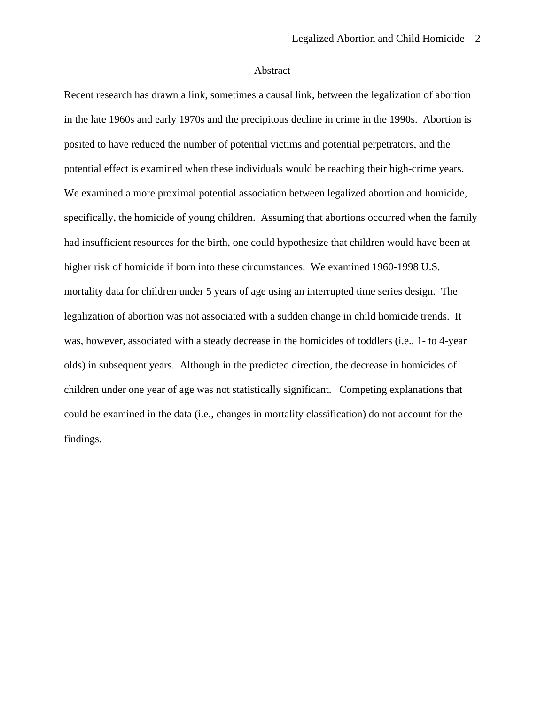#### Abstract

Recent research has drawn a link, sometimes a causal link, between the legalization of abortion in the late 1960s and early 1970s and the precipitous decline in crime in the 1990s. Abortion is posited to have reduced the number of potential victims and potential perpetrators, and the potential effect is examined when these individuals would be reaching their high-crime years. We examined a more proximal potential association between legalized abortion and homicide, specifically, the homicide of young children. Assuming that abortions occurred when the family had insufficient resources for the birth, one could hypothesize that children would have been at higher risk of homicide if born into these circumstances. We examined 1960-1998 U.S. mortality data for children under 5 years of age using an interrupted time series design. The legalization of abortion was not associated with a sudden change in child homicide trends. It was, however, associated with a steady decrease in the homicides of toddlers (i.e., 1- to 4-year olds) in subsequent years. Although in the predicted direction, the decrease in homicides of children under one year of age was not statistically significant. Competing explanations that could be examined in the data (i.e., changes in mortality classification) do not account for the findings.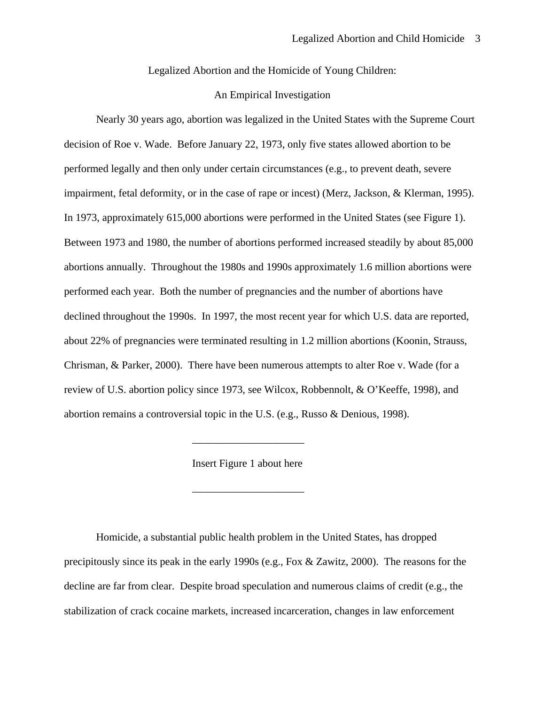Legalized Abortion and the Homicide of Young Children:

#### An Empirical Investigation

Nearly 30 years ago, abortion was legalized in the United States with the Supreme Court decision of Roe v. Wade. Before January 22, 1973, only five states allowed abortion to be performed legally and then only under certain circumstances (e.g., to prevent death, severe impairment, fetal deformity, or in the case of rape or incest) (Merz, Jackson, & Klerman, 1995). In 1973, approximately 615,000 abortions were performed in the United States (see Figure 1). Between 1973 and 1980, the number of abortions performed increased steadily by about 85,000 abortions annually. Throughout the 1980s and 1990s approximately 1.6 million abortions were performed each year. Both the number of pregnancies and the number of abortions have declined throughout the 1990s. In 1997, the most recent year for which U.S. data are reported, about 22% of pregnancies were terminated resulting in 1.2 million abortions (Koonin, Strauss, Chrisman, & Parker, 2000). There have been numerous attempts to alter Roe v. Wade (for a review of U.S. abortion policy since 1973, see Wilcox, Robbennolt, & O'Keeffe, 1998), and abortion remains a controversial topic in the U.S. (e.g., Russo & Denious, 1998).

Insert Figure 1 about here

 $\overline{\phantom{a}}$  , and the set of the set of the set of the set of the set of the set of the set of the set of the set of the set of the set of the set of the set of the set of the set of the set of the set of the set of the s

 $\overline{\phantom{a}}$  , and the set of the set of the set of the set of the set of the set of the set of the set of the set of the set of the set of the set of the set of the set of the set of the set of the set of the set of the s

Homicide, a substantial public health problem in the United States, has dropped precipitously since its peak in the early 1990s (e.g., Fox & Zawitz, 2000). The reasons for the decline are far from clear. Despite broad speculation and numerous claims of credit (e.g., the stabilization of crack cocaine markets, increased incarceration, changes in law enforcement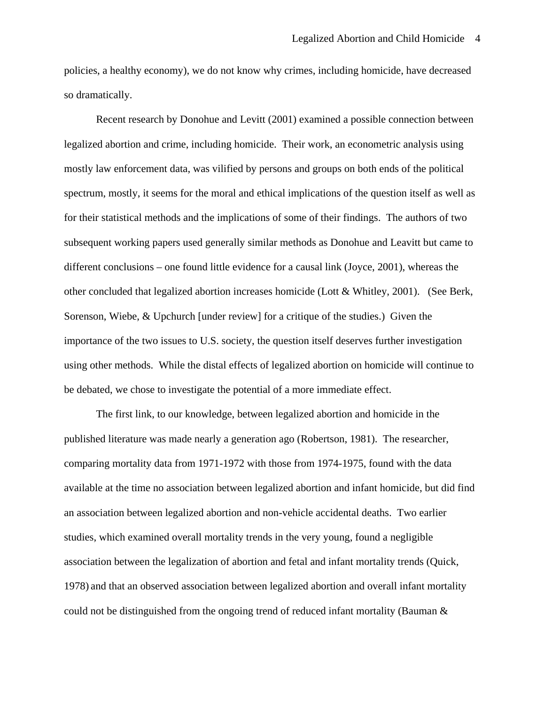policies, a healthy economy), we do not know why crimes, including homicide, have decreased so dramatically.

Recent research by Donohue and Levitt (2001) examined a possible connection between legalized abortion and crime, including homicide. Their work, an econometric analysis using mostly law enforcement data, was vilified by persons and groups on both ends of the political spectrum, mostly, it seems for the moral and ethical implications of the question itself as well as for their statistical methods and the implications of some of their findings. The authors of two subsequent working papers used generally similar methods as Donohue and Leavitt but came to different conclusions – one found little evidence for a causal link (Joyce, 2001), whereas the other concluded that legalized abortion increases homicide (Lott & Whitley, 2001). (See Berk, Sorenson, Wiebe, & Upchurch [under review] for a critique of the studies.) Given the importance of the two issues to U.S. society, the question itself deserves further investigation using other methods. While the distal effects of legalized abortion on homicide will continue to be debated, we chose to investigate the potential of a more immediate effect.

The first link, to our knowledge, between legalized abortion and homicide in the published literature was made nearly a generation ago (Robertson, 1981). The researcher, comparing mortality data from 1971-1972 with those from 1974-1975, found with the data available at the time no association between legalized abortion and infant homicide, but did find an association between legalized abortion and non-vehicle accidental deaths. Two earlier studies, which examined overall mortality trends in the very young, found a negligible association between the legalization of abortion and fetal and infant mortality trends (Quick, 1978) and that an observed association between legalized abortion and overall infant mortality could not be distinguished from the ongoing trend of reduced infant mortality (Bauman  $\&$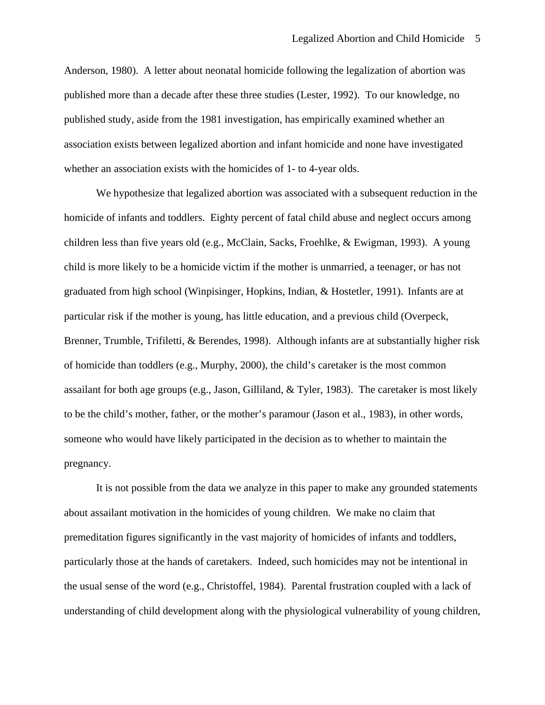Anderson, 1980). A letter about neonatal homicide following the legalization of abortion was published more than a decade after these three studies (Lester, 1992). To our knowledge, no published study, aside from the 1981 investigation, has empirically examined whether an association exists between legalized abortion and infant homicide and none have investigated whether an association exists with the homicides of 1- to 4-year olds.

We hypothesize that legalized abortion was associated with a subsequent reduction in the homicide of infants and toddlers. Eighty percent of fatal child abuse and neglect occurs among children less than five years old (e.g., McClain, Sacks, Froehlke, & Ewigman, 1993). A young child is more likely to be a homicide victim if the mother is unmarried, a teenager, or has not graduated from high school (Winpisinger, Hopkins, Indian, & Hostetler, 1991). Infants are at particular risk if the mother is young, has little education, and a previous child (Overpeck, Brenner, Trumble, Trifiletti, & Berendes, 1998). Although infants are at substantially higher risk of homicide than toddlers (e.g., Murphy, 2000), the child's caretaker is the most common assailant for both age groups (e.g., Jason, Gilliland, & Tyler, 1983). The caretaker is most likely to be the child's mother, father, or the mother's paramour (Jason et al., 1983), in other words, someone who would have likely participated in the decision as to whether to maintain the pregnancy.

It is not possible from the data we analyze in this paper to make any grounded statements about assailant motivation in the homicides of young children. We make no claim that premeditation figures significantly in the vast majority of homicides of infants and toddlers, particularly those at the hands of caretakers. Indeed, such homicides may not be intentional in the usual sense of the word (e.g., Christoffel, 1984). Parental frustration coupled with a lack of understanding of child development along with the physiological vulnerability of young children,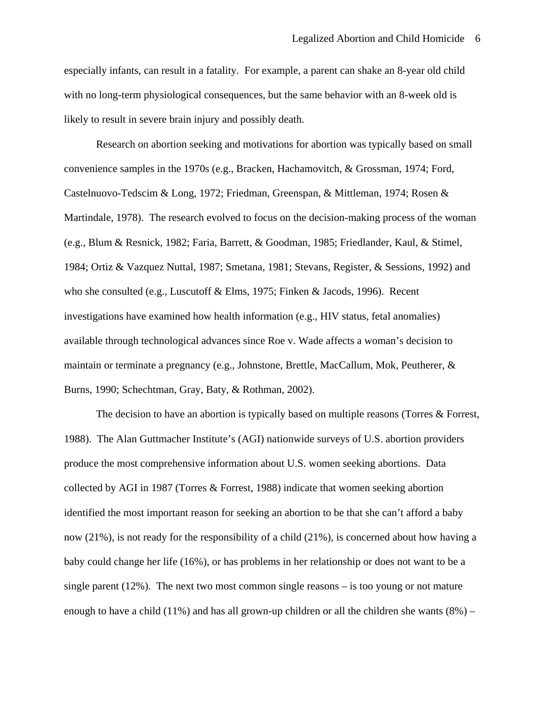especially infants, can result in a fatality. For example, a parent can shake an 8-year old child with no long-term physiological consequences, but the same behavior with an 8-week old is likely to result in severe brain injury and possibly death.

Research on abortion seeking and motivations for abortion was typically based on small convenience samples in the 1970s (e.g., Bracken, Hachamovitch, & Grossman, 1974; Ford, Castelnuovo-Tedscim & Long, 1972; Friedman, Greenspan, & Mittleman, 1974; Rosen & Martindale, 1978). The research evolved to focus on the decision-making process of the woman (e.g., Blum & Resnick, 1982; Faria, Barrett, & Goodman, 1985; Friedlander, Kaul, & Stimel, 1984; Ortiz & Vazquez Nuttal, 1987; Smetana, 1981; Stevans, Register, & Sessions, 1992) and who she consulted (e.g., Luscutoff & Elms, 1975; Finken & Jacods, 1996). Recent investigations have examined how health information (e.g., HIV status, fetal anomalies) available through technological advances since Roe v. Wade affects a woman's decision to maintain or terminate a pregnancy (e.g., Johnstone, Brettle, MacCallum, Mok, Peutherer, & Burns, 1990; Schechtman, Gray, Baty, & Rothman, 2002).

The decision to have an abortion is typically based on multiple reasons (Torres & Forrest, 1988). The Alan Guttmacher Institute's (AGI) nationwide surveys of U.S. abortion providers produce the most comprehensive information about U.S. women seeking abortions. Data collected by AGI in 1987 (Torres & Forrest, 1988) indicate that women seeking abortion identified the most important reason for seeking an abortion to be that she can't afford a baby now (21%), is not ready for the responsibility of a child (21%), is concerned about how having a baby could change her life (16%), or has problems in her relationship or does not want to be a single parent  $(12\%)$ . The next two most common single reasons – is too young or not mature enough to have a child  $(11\%)$  and has all grown-up children or all the children she wants  $(8\%)$  –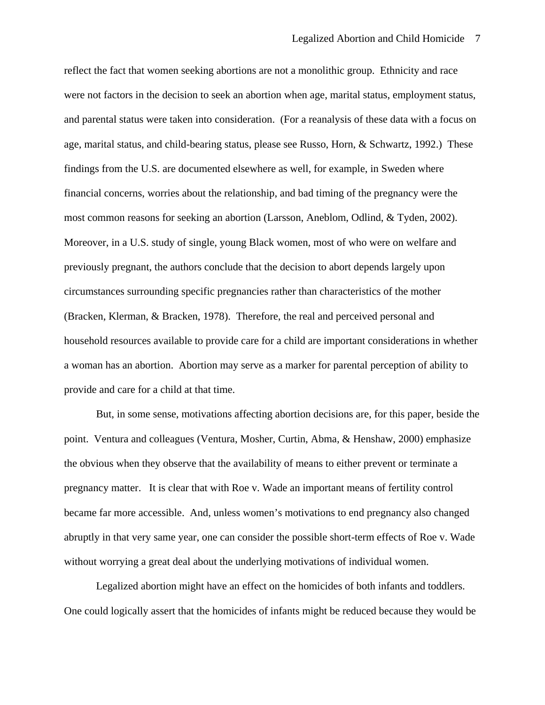reflect the fact that women seeking abortions are not a monolithic group. Ethnicity and race were not factors in the decision to seek an abortion when age, marital status, employment status, and parental status were taken into consideration. (For a reanalysis of these data with a focus on age, marital status, and child-bearing status, please see Russo, Horn, & Schwartz, 1992.) These findings from the U.S. are documented elsewhere as well, for example, in Sweden where financial concerns, worries about the relationship, and bad timing of the pregnancy were the most common reasons for seeking an abortion (Larsson, Aneblom, Odlind, & Tyden, 2002). Moreover, in a U.S. study of single, young Black women, most of who were on welfare and previously pregnant, the authors conclude that the decision to abort depends largely upon circumstances surrounding specific pregnancies rather than characteristics of the mother (Bracken, Klerman, & Bracken, 1978). Therefore, the real and perceived personal and household resources available to provide care for a child are important considerations in whether a woman has an abortion. Abortion may serve as a marker for parental perception of ability to provide and care for a child at that time.

But, in some sense, motivations affecting abortion decisions are, for this paper, beside the point. Ventura and colleagues (Ventura, Mosher, Curtin, Abma, & Henshaw, 2000) emphasize the obvious when they observe that the availability of means to either prevent or terminate a pregnancy matter. It is clear that with Roe v. Wade an important means of fertility control became far more accessible. And, unless women's motivations to end pregnancy also changed abruptly in that very same year, one can consider the possible short-term effects of Roe v. Wade without worrying a great deal about the underlying motivations of individual women.

Legalized abortion might have an effect on the homicides of both infants and toddlers. One could logically assert that the homicides of infants might be reduced because they would be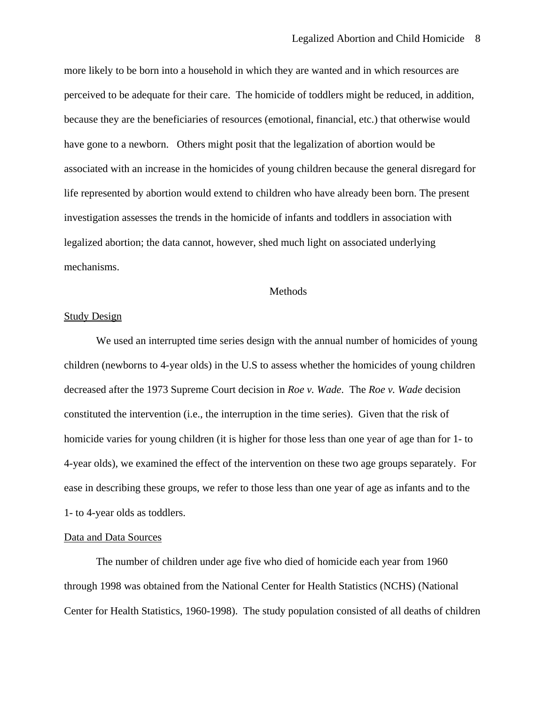more likely to be born into a household in which they are wanted and in which resources are perceived to be adequate for their care. The homicide of toddlers might be reduced, in addition, because they are the beneficiaries of resources (emotional, financial, etc.) that otherwise would have gone to a newborn. Others might posit that the legalization of abortion would be associated with an increase in the homicides of young children because the general disregard for life represented by abortion would extend to children who have already been born. The present investigation assesses the trends in the homicide of infants and toddlers in association with legalized abortion; the data cannot, however, shed much light on associated underlying mechanisms.

#### Methods

#### Study Design

 We used an interrupted time series design with the annual number of homicides of young children (newborns to 4-year olds) in the U.S to assess whether the homicides of young children decreased after the 1973 Supreme Court decision in *Roe v. Wade*. The *Roe v. Wade* decision constituted the intervention (i.e., the interruption in the time series). Given that the risk of homicide varies for young children (it is higher for those less than one year of age than for 1- to 4-year olds), we examined the effect of the intervention on these two age groups separately. For ease in describing these groups, we refer to those less than one year of age as infants and to the 1- to 4-year olds as toddlers.

#### Data and Data Sources

 The number of children under age five who died of homicide each year from 1960 through 1998 was obtained from the National Center for Health Statistics (NCHS) (National Center for Health Statistics, 1960-1998). The study population consisted of all deaths of children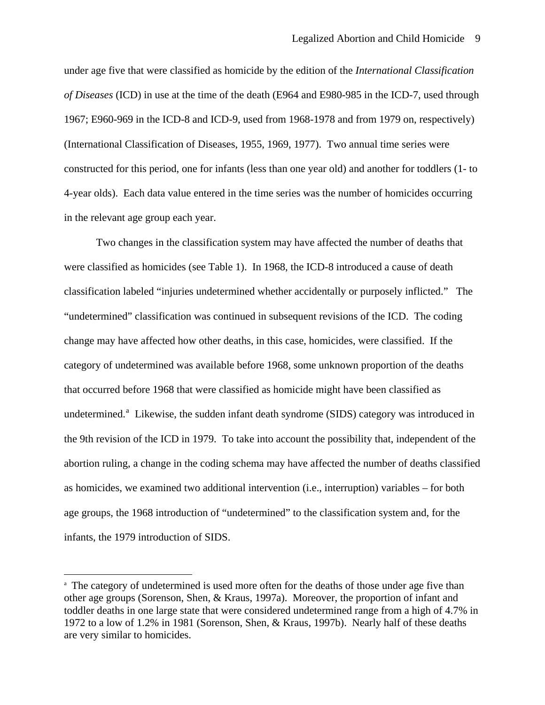<span id="page-10-0"></span>under age five that were classified as homicide by the edition of the *International Classification of Diseases* (ICD) in use at the time of the death (E964 and E980-985 in the ICD-7, used through 1967; E960-969 in the ICD-8 and ICD-9, used from 1968-1978 and from 1979 on, respectively) (International Classification of Diseases, 1955, 1969, 1977). Two annual time series were constructed for this period, one for infants (less than one year old) and another for toddlers (1- to 4-year olds). Each data value entered in the time series was the number of homicides occurring in the relevant age group each year.

Two changes in the classification system may have affected the number of deaths that were classified as homicides (see Table 1). In 1968, the ICD-8 introduced a cause of death classification labeled "injuries undetermined whether accidentally or purposely inflicted." The "undetermined" classification was continued in subsequent revisions of the ICD. The coding change may have affected how other deaths, in this case, homicides, were classified. If the category of undetermined was available before 1968, some unknown proportion of the deaths that occurred before 1968 that were classified as homicide might have been classified as undetermined.<sup>[a](#page-10-0)</sup> Likewise, the sudden infant death syndrome (SIDS) category was introduced in the 9th revision of the ICD in 1979. To take into account the possibility that, independent of the abortion ruling, a change in the coding schema may have affected the number of deaths classified as homicides, we examined two additional intervention (i.e., interruption) variables – for both age groups, the 1968 introduction of "undetermined" to the classification system and, for the infants, the 1979 introduction of SIDS.

 $\overline{a}$ 

<sup>&</sup>lt;sup>a</sup> The category of undetermined is used more often for the deaths of those under age five than other age groups (Sorenson, Shen, & Kraus, 1997a). Moreover, the proportion of infant and toddler deaths in one large state that were considered undetermined range from a high of 4.7% in 1972 to a low of 1.2% in 1981 (Sorenson, Shen, & Kraus, 1997b). Nearly half of these deaths are very similar to homicides.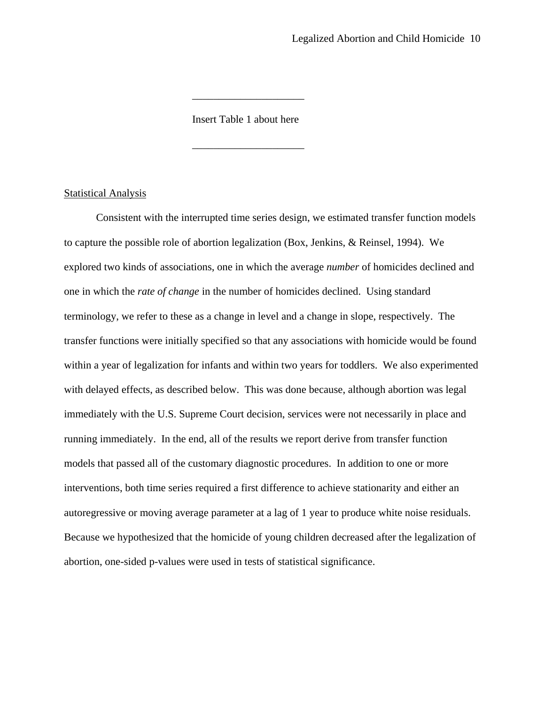Insert Table 1 about here

 $\frac{1}{2}$  , and the set of the set of the set of the set of the set of the set of the set of the set of the set of the set of the set of the set of the set of the set of the set of the set of the set of the set of the set

 $\frac{1}{2}$  , and the set of the set of the set of the set of the set of the set of the set of the set of the set of the set of the set of the set of the set of the set of the set of the set of the set of the set of the set

#### **Statistical Analysis**

 Consistent with the interrupted time series design, we estimated transfer function models to capture the possible role of abortion legalization (Box, Jenkins, & Reinsel, 1994). We explored two kinds of associations, one in which the average *number* of homicides declined and one in which the *rate of change* in the number of homicides declined. Using standard terminology, we refer to these as a change in level and a change in slope, respectively. The transfer functions were initially specified so that any associations with homicide would be found within a year of legalization for infants and within two years for toddlers. We also experimented with delayed effects, as described below. This was done because, although abortion was legal immediately with the U.S. Supreme Court decision, services were not necessarily in place and running immediately. In the end, all of the results we report derive from transfer function models that passed all of the customary diagnostic procedures. In addition to one or more interventions, both time series required a first difference to achieve stationarity and either an autoregressive or moving average parameter at a lag of 1 year to produce white noise residuals. Because we hypothesized that the homicide of young children decreased after the legalization of abortion, one-sided p-values were used in tests of statistical significance.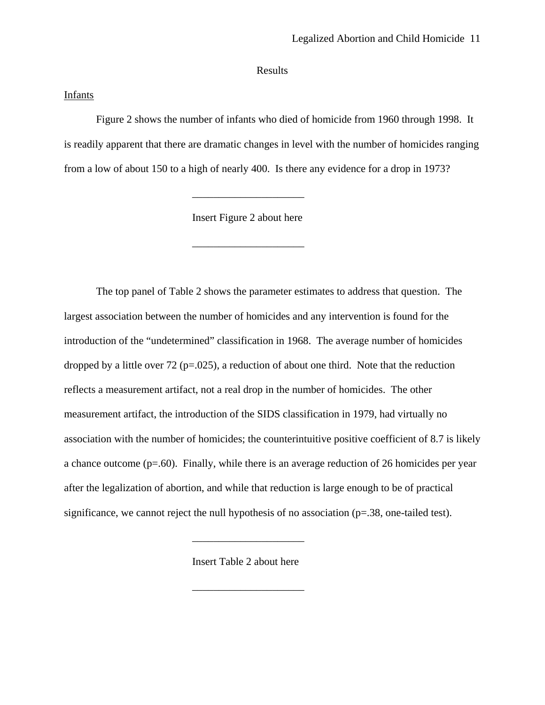Results

## **Infants**

Figure 2 shows the number of infants who died of homicide from 1960 through 1998. It is readily apparent that there are dramatic changes in level with the number of homicides ranging from a low of about 150 to a high of nearly 400. Is there any evidence for a drop in 1973?

Insert Figure 2 about here

 $\frac{1}{2}$  , and the set of the set of the set of the set of the set of the set of the set of the set of the set of the set of the set of the set of the set of the set of the set of the set of the set of the set of the set

\_\_\_\_\_\_\_\_\_\_\_\_\_\_\_\_\_\_\_\_\_

The top panel of Table 2 shows the parameter estimates to address that question. The largest association between the number of homicides and any intervention is found for the introduction of the "undetermined" classification in 1968. The average number of homicides dropped by a little over  $72$  (p=.025), a reduction of about one third. Note that the reduction reflects a measurement artifact, not a real drop in the number of homicides. The other measurement artifact, the introduction of the SIDS classification in 1979, had virtually no association with the number of homicides; the counterintuitive positive coefficient of 8.7 is likely a chance outcome  $(p=0.60)$ . Finally, while there is an average reduction of 26 homicides per year after the legalization of abortion, and while that reduction is large enough to be of practical significance, we cannot reject the null hypothesis of no association (p=.38, one-tailed test).

Insert Table 2 about here

 $\frac{1}{2}$  , and the set of the set of the set of the set of the set of the set of the set of the set of the set of the set of the set of the set of the set of the set of the set of the set of the set of the set of the set

\_\_\_\_\_\_\_\_\_\_\_\_\_\_\_\_\_\_\_\_\_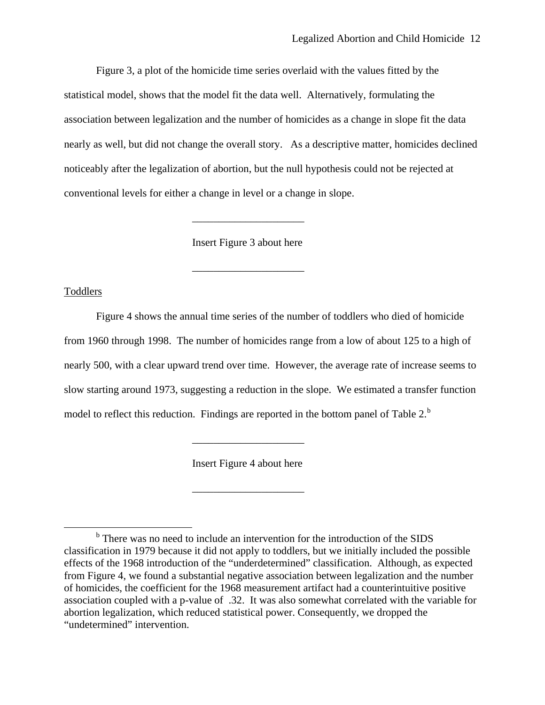<span id="page-13-0"></span>Figure 3, a plot of the homicide time series overlaid with the values fitted by the statistical model, shows that the model fit the data well. Alternatively, formulating the association between legalization and the number of homicides as a change in slope fit the data nearly as well, but did not change the overall story. As a descriptive matter, homicides declined noticeably after the legalization of abortion, but the null hypothesis could not be rejected at conventional levels for either a change in level or a change in slope.

Insert Figure 3 about here

 $\frac{1}{2}$  , and the set of the set of the set of the set of the set of the set of the set of the set of the set of the set of the set of the set of the set of the set of the set of the set of the set of the set of the set

 $\frac{1}{2}$  , and the set of the set of the set of the set of the set of the set of the set of the set of the set of the set of the set of the set of the set of the set of the set of the set of the set of the set of the set

\_\_\_\_\_\_\_\_\_\_\_\_\_\_\_\_\_\_\_\_\_

#### Toddlers

Figure 4 shows the annual time series of the number of toddlers who died of homicide from 1960 through 1998. The number of homicides range from a low of about 125 to a high of nearly 500, with a clear upward trend over time. However, the average rate of increase seems to slow starting around 1973, suggesting a reduction in the slope. We estimated a transfer function model to reflect this reduction. Findings are reported in the [b](#page-13-0)ottom panel of Table 2. $<sup>b</sup>$ </sup>

Insert Figure 4 about here

\_\_\_\_\_\_\_\_\_\_\_\_\_\_\_\_\_\_\_\_\_

 $\overline{\phantom{a}}$ <sup>b</sup> There was no need to include an intervention for the introduction of the SIDS classification in 1979 because it did not apply to toddlers, but we initially included the possible effects of the 1968 introduction of the "underdetermined" classification. Although, as expected from Figure 4, we found a substantial negative association between legalization and the number of homicides, the coefficient for the 1968 measurement artifact had a counterintuitive positive association coupled with a p-value of .32. It was also somewhat correlated with the variable for abortion legalization, which reduced statistical power. Consequently, we dropped the "undetermined" intervention.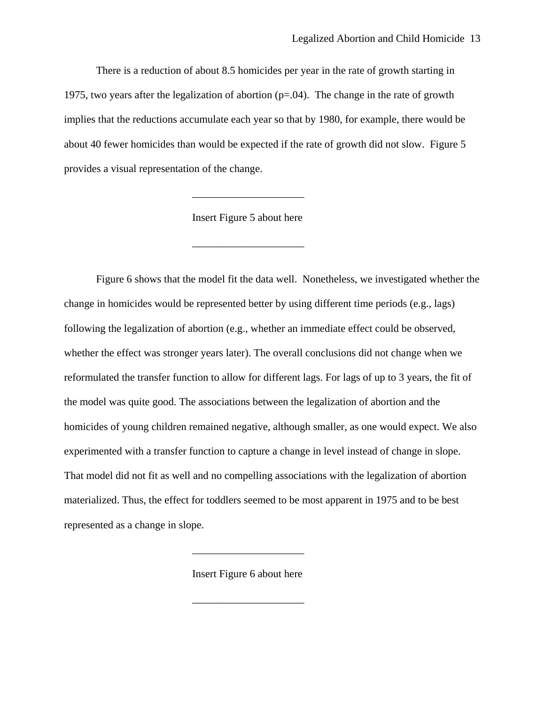There is a reduction of about 8.5 homicides per year in the rate of growth starting in 1975, two years after the legalization of abortion  $(p=0.04)$ . The change in the rate of growth implies that the reductions accumulate each year so that by 1980, for example, there would be about 40 fewer homicides than would be expected if the rate of growth did not slow. Figure 5 provides a visual representation of the change.

Insert Figure 5 about here

 $\frac{1}{2}$  , and the set of the set of the set of the set of the set of the set of the set of the set of the set of the set of the set of the set of the set of the set of the set of the set of the set of the set of the set

\_\_\_\_\_\_\_\_\_\_\_\_\_\_\_\_\_\_\_\_\_

Figure 6 shows that the model fit the data well. Nonetheless, we investigated whether the change in homicides would be represented better by using different time periods (e.g., lags) following the legalization of abortion (e.g., whether an immediate effect could be observed, whether the effect was stronger years later). The overall conclusions did not change when we reformulated the transfer function to allow for different lags. For lags of up to 3 years, the fit of the model was quite good. The associations between the legalization of abortion and the homicides of young children remained negative, although smaller, as one would expect. We also experimented with a transfer function to capture a change in level instead of change in slope. That model did not fit as well and no compelling associations with the legalization of abortion materialized. Thus, the effect for toddlers seemed to be most apparent in 1975 and to be best represented as a change in slope.

Insert Figure 6 about here

 $\frac{1}{2}$  , and the set of the set of the set of the set of the set of the set of the set of the set of the set of the set of the set of the set of the set of the set of the set of the set of the set of the set of the set

\_\_\_\_\_\_\_\_\_\_\_\_\_\_\_\_\_\_\_\_\_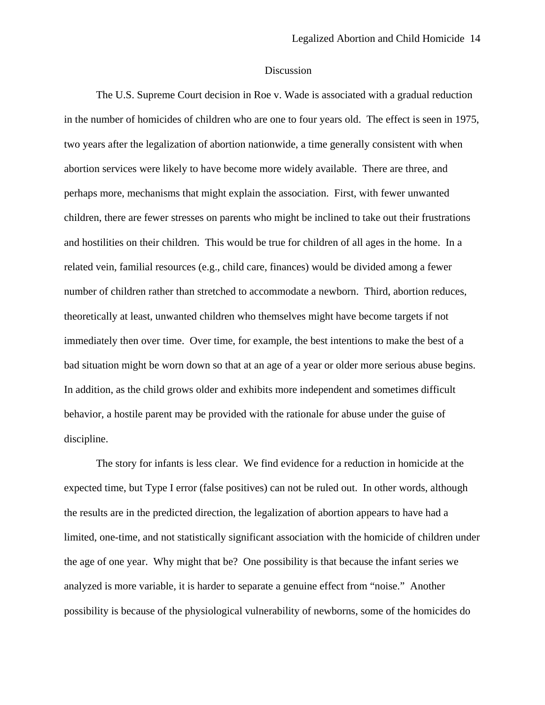#### Discussion

The U.S. Supreme Court decision in Roe v. Wade is associated with a gradual reduction in the number of homicides of children who are one to four years old. The effect is seen in 1975, two years after the legalization of abortion nationwide, a time generally consistent with when abortion services were likely to have become more widely available. There are three, and perhaps more, mechanisms that might explain the association. First, with fewer unwanted children, there are fewer stresses on parents who might be inclined to take out their frustrations and hostilities on their children. This would be true for children of all ages in the home. In a related vein, familial resources (e.g., child care, finances) would be divided among a fewer number of children rather than stretched to accommodate a newborn. Third, abortion reduces, theoretically at least, unwanted children who themselves might have become targets if not immediately then over time. Over time, for example, the best intentions to make the best of a bad situation might be worn down so that at an age of a year or older more serious abuse begins. In addition, as the child grows older and exhibits more independent and sometimes difficult behavior, a hostile parent may be provided with the rationale for abuse under the guise of discipline.

The story for infants is less clear. We find evidence for a reduction in homicide at the expected time, but Type I error (false positives) can not be ruled out. In other words, although the results are in the predicted direction, the legalization of abortion appears to have had a limited, one-time, and not statistically significant association with the homicide of children under the age of one year. Why might that be? One possibility is that because the infant series we analyzed is more variable, it is harder to separate a genuine effect from "noise." Another possibility is because of the physiological vulnerability of newborns, some of the homicides do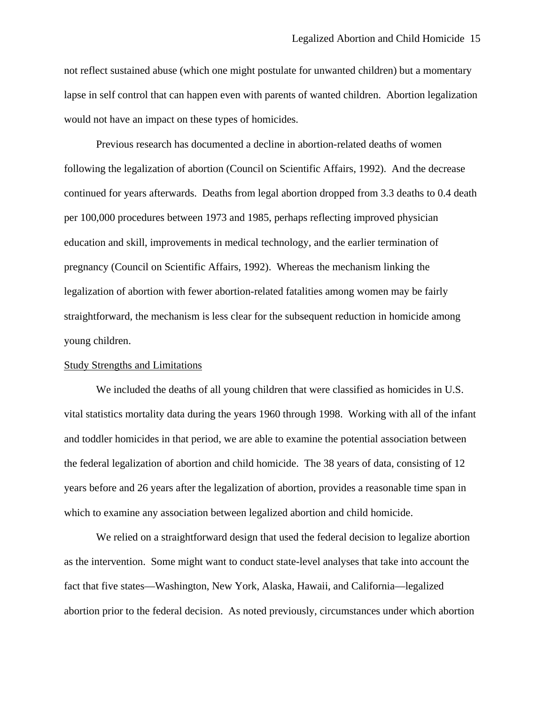not reflect sustained abuse (which one might postulate for unwanted children) but a momentary lapse in self control that can happen even with parents of wanted children. Abortion legalization would not have an impact on these types of homicides.

Previous research has documented a decline in abortion-related deaths of women following the legalization of abortion (Council on Scientific Affairs, 1992). And the decrease continued for years afterwards. Deaths from legal abortion dropped from 3.3 deaths to 0.4 death per 100,000 procedures between 1973 and 1985, perhaps reflecting improved physician education and skill, improvements in medical technology, and the earlier termination of pregnancy (Council on Scientific Affairs, 1992). Whereas the mechanism linking the legalization of abortion with fewer abortion-related fatalities among women may be fairly straightforward, the mechanism is less clear for the subsequent reduction in homicide among young children.

#### Study Strengths and Limitations

We included the deaths of all young children that were classified as homicides in U.S. vital statistics mortality data during the years 1960 through 1998. Working with all of the infant and toddler homicides in that period, we are able to examine the potential association between the federal legalization of abortion and child homicide. The 38 years of data, consisting of 12 years before and 26 years after the legalization of abortion, provides a reasonable time span in which to examine any association between legalized abortion and child homicide.

 We relied on a straightforward design that used the federal decision to legalize abortion as the intervention. Some might want to conduct state-level analyses that take into account the fact that five states—Washington, New York, Alaska, Hawaii, and California—legalized abortion prior to the federal decision. As noted previously, circumstances under which abortion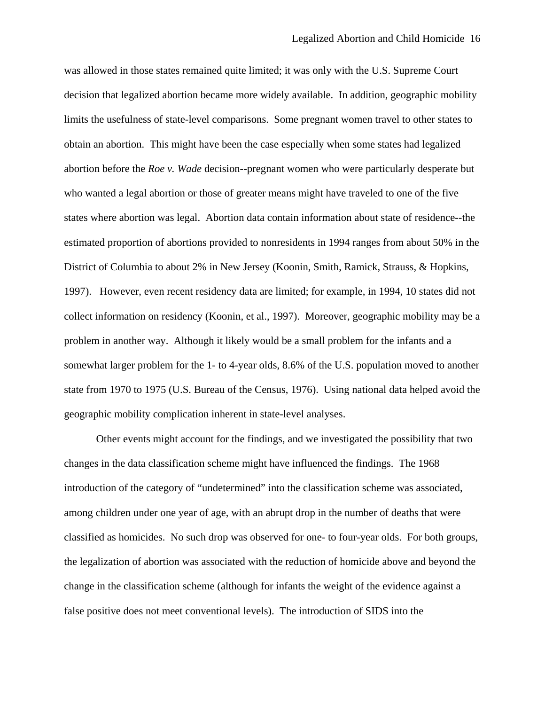was allowed in those states remained quite limited; it was only with the U.S. Supreme Court decision that legalized abortion became more widely available. In addition, geographic mobility limits the usefulness of state-level comparisons. Some pregnant women travel to other states to obtain an abortion. This might have been the case especially when some states had legalized abortion before the *Roe v. Wade* decision--pregnant women who were particularly desperate but who wanted a legal abortion or those of greater means might have traveled to one of the five states where abortion was legal. Abortion data contain information about state of residence--the estimated proportion of abortions provided to nonresidents in 1994 ranges from about 50% in the District of Columbia to about 2% in New Jersey (Koonin, Smith, Ramick, Strauss, & Hopkins, 1997). However, even recent residency data are limited; for example, in 1994, 10 states did not collect information on residency (Koonin, et al., 1997). Moreover, geographic mobility may be a problem in another way. Although it likely would be a small problem for the infants and a somewhat larger problem for the 1- to 4-year olds, 8.6% of the U.S. population moved to another state from 1970 to 1975 (U.S. Bureau of the Census, 1976). Using national data helped avoid the geographic mobility complication inherent in state-level analyses.

Other events might account for the findings, and we investigated the possibility that two changes in the data classification scheme might have influenced the findings. The 1968 introduction of the category of "undetermined" into the classification scheme was associated, among children under one year of age, with an abrupt drop in the number of deaths that were classified as homicides. No such drop was observed for one- to four-year olds. For both groups, the legalization of abortion was associated with the reduction of homicide above and beyond the change in the classification scheme (although for infants the weight of the evidence against a false positive does not meet conventional levels). The introduction of SIDS into the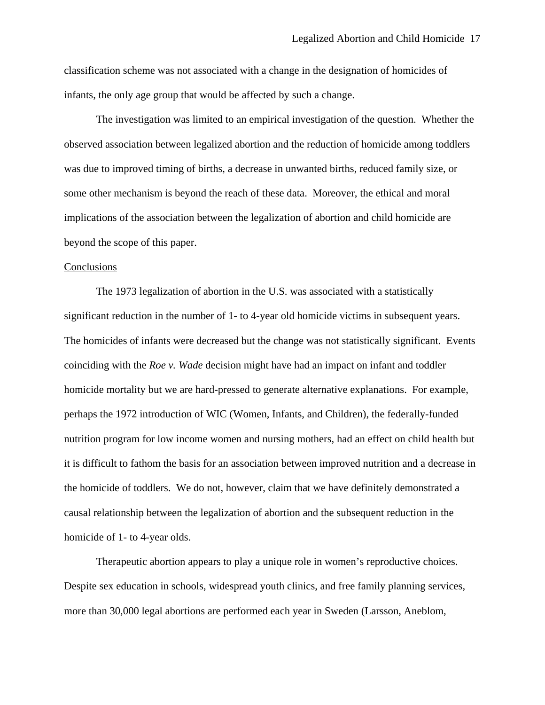classification scheme was not associated with a change in the designation of homicides of infants, the only age group that would be affected by such a change.

The investigation was limited to an empirical investigation of the question. Whether the observed association between legalized abortion and the reduction of homicide among toddlers was due to improved timing of births, a decrease in unwanted births, reduced family size, or some other mechanism is beyond the reach of these data. Moreover, the ethical and moral implications of the association between the legalization of abortion and child homicide are beyond the scope of this paper.

#### Conclusions

The 1973 legalization of abortion in the U.S. was associated with a statistically significant reduction in the number of 1- to 4-year old homicide victims in subsequent years. The homicides of infants were decreased but the change was not statistically significant. Events coinciding with the *Roe v. Wade* decision might have had an impact on infant and toddler homicide mortality but we are hard-pressed to generate alternative explanations. For example, perhaps the 1972 introduction of WIC (Women, Infants, and Children), the federally-funded nutrition program for low income women and nursing mothers, had an effect on child health but it is difficult to fathom the basis for an association between improved nutrition and a decrease in the homicide of toddlers. We do not, however, claim that we have definitely demonstrated a causal relationship between the legalization of abortion and the subsequent reduction in the homicide of 1- to 4-year olds.

Therapeutic abortion appears to play a unique role in women's reproductive choices. Despite sex education in schools, widespread youth clinics, and free family planning services, more than 30,000 legal abortions are performed each year in Sweden (Larsson, Aneblom,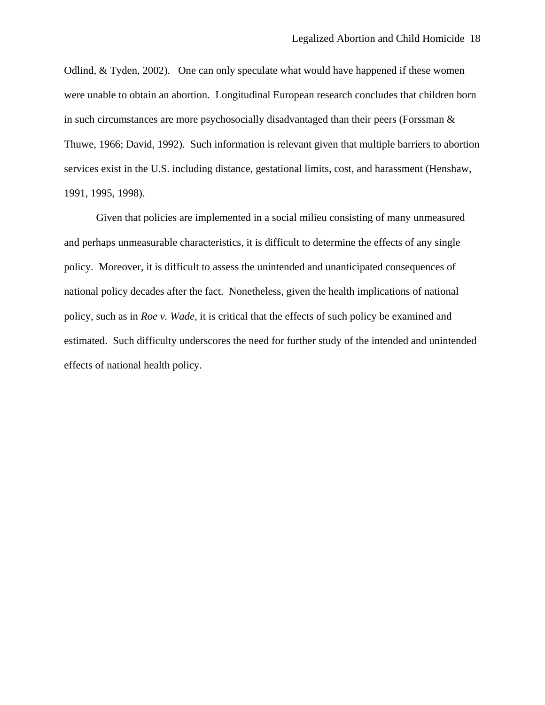Odlind, & Tyden, 2002). One can only speculate what would have happened if these women were unable to obtain an abortion. Longitudinal European research concludes that children born in such circumstances are more psychosocially disadvantaged than their peers (Forssman & Thuwe, 1966; David, 1992). Such information is relevant given that multiple barriers to abortion services exist in the U.S. including distance, gestational limits, cost, and harassment (Henshaw, 1991, 1995, 1998).

Given that policies are implemented in a social milieu consisting of many unmeasured and perhaps unmeasurable characteristics, it is difficult to determine the effects of any single policy. Moreover, it is difficult to assess the unintended and unanticipated consequences of national policy decades after the fact. Nonetheless, given the health implications of national policy, such as in *Roe v. Wade,* it is critical that the effects of such policy be examined and estimated. Such difficulty underscores the need for further study of the intended and unintended effects of national health policy.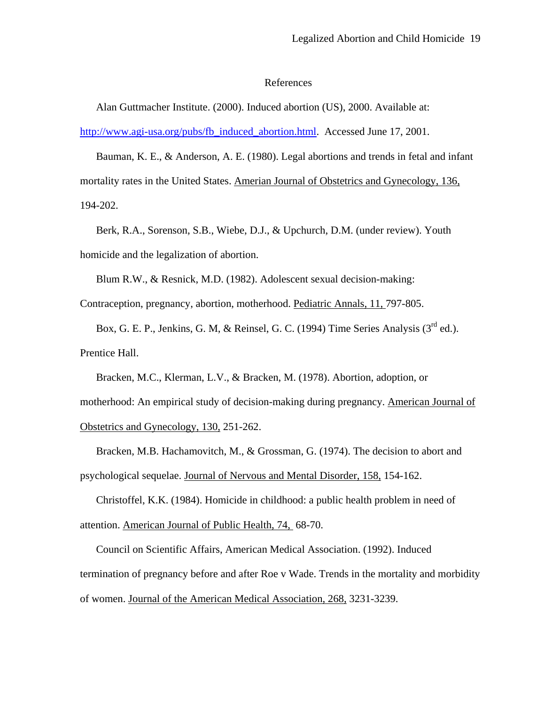#### References

Alan Guttmacher Institute. (2000). Induced abortion (US), 2000. Available at: [http://www.agi-usa.org/pubs/fb\\_induced\\_abortion.html.](http://www.agi-usa.org/pubs/fb_induced_abortion.html) Accessed June 17, 2001.

Bauman, K. E., & Anderson, A. E. (1980). Legal abortions and trends in fetal and infant mortality rates in the United States. Amerian Journal of Obstetrics and Gynecology, 136, 194-202.

Berk, R.A., Sorenson, S.B., Wiebe, D.J., & Upchurch, D.M. (under review). Youth homicide and the legalization of abortion.

Blum R.W., & Resnick, M.D. (1982). Adolescent sexual decision-making:

Contraception, pregnancy, abortion, motherhood. Pediatric Annals, 11, 797-805.

Box, G. E. P., Jenkins, G. M, & Reinsel, G. C. (1994) Time Series Analysis (3<sup>rd</sup> ed.). Prentice Hall.

Bracken, M.C., Klerman, L.V., & Bracken, M. (1978). Abortion, adoption, or motherhood: An empirical study of decision-making during pregnancy. American Journal of Obstetrics and Gynecology, 130, 251-262.

Bracken, M.B. Hachamovitch, M., & Grossman, G. (1974). The decision to abort and psychological sequelae. Journal of Nervous and Mental Disorder, 158, 154-162.

Christoffel, K.K. (1984). Homicide in childhood: a public health problem in need of attention. American Journal of Public Health, 74, 68-70.

Council on Scientific Affairs, American Medical Association. (1992). Induced termination of pregnancy before and after Roe v Wade. Trends in the mortality and morbidity of women. Journal of the American Medical Association, 268, 3231-3239.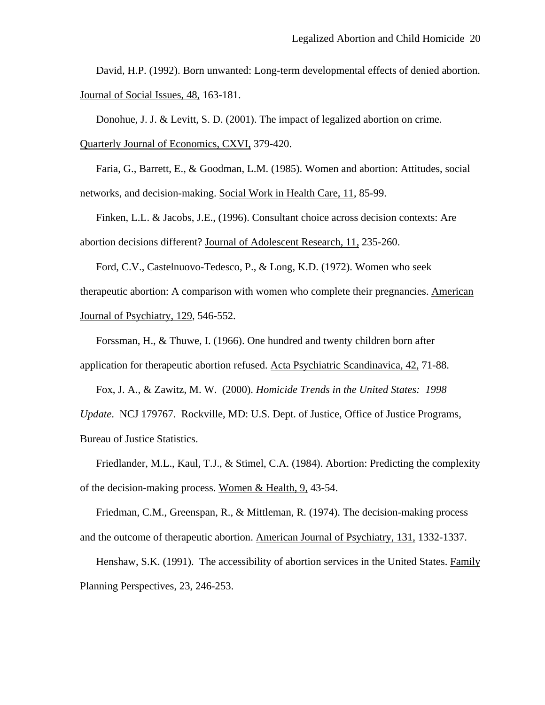David, H.P. (1992). Born unwanted: Long-term developmental effects of denied abortion. Journal of Social Issues, 48, 163-181.

Donohue, J. J. & Levitt, S. D. (2001). The impact of legalized abortion on crime.

Quarterly Journal of Economics, CXVI, 379-420.

Faria, G., Barrett, E., & Goodman, L.M. (1985). Women and abortion: Attitudes, social networks, and decision-making. Social Work in Health Care, 11, 85-99.

Finken, L.L. & Jacobs, J.E., (1996). Consultant choice across decision contexts: Are abortion decisions different? Journal of Adolescent Research, 11, 235-260.

Ford, C.V., Castelnuovo-Tedesco, P., & Long, K.D. (1972). Women who seek therapeutic abortion: A comparison with women who complete their pregnancies. American Journal of Psychiatry, 129, 546-552.

Forssman, H., & Thuwe, I. (1966). One hundred and twenty children born after application for therapeutic abortion refused. Acta Psychiatric Scandinavica, 42, 71-88.

Fox, J. A., & Zawitz, M. W. (2000). *Homicide Trends in the United States: 1998 Update*. NCJ 179767. Rockville, MD: U.S. Dept. of Justice, Office of Justice Programs, Bureau of Justice Statistics.

Friedlander, M.L., Kaul, T.J., & Stimel, C.A. (1984). Abortion: Predicting the complexity of the decision-making process. Women & Health, 9, 43-54.

Friedman, C.M., Greenspan, R., & Mittleman, R. (1974). The decision-making process and the outcome of therapeutic abortion. American Journal of Psychiatry, 131, 1332-1337.

Henshaw, S.K. (1991). The accessibility of abortion services in the United States. Family Planning Perspectives, 23, 246-253.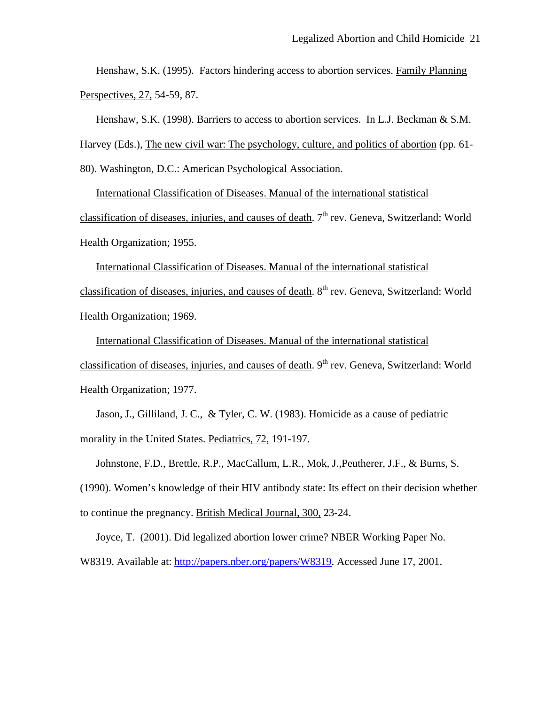Henshaw, S.K. (1995). Factors hindering access to abortion services. Family Planning Perspectives, 27, 54-59, 87.

Henshaw, S.K. (1998). Barriers to access to abortion services. In L.J. Beckman & S.M.

Harvey (Eds.), The new civil war: The psychology, culture, and politics of abortion (pp. 61-

80). Washington, D.C.: American Psychological Association.

International Classification of Diseases. Manual of the international statistical classification of diseases, injuries, and causes of death. 7<sup>th</sup> rev. Geneva, Switzerland: World Health Organization; 1955.

International Classification of Diseases. Manual of the international statistical classification of diseases, injuries, and causes of death. 8<sup>th</sup> rev. Geneva, Switzerland: World Health Organization; 1969.

International Classification of Diseases. Manual of the international statistical classification of diseases, injuries, and causes of death.  $9<sup>th</sup>$  rev. Geneva, Switzerland: World Health Organization; 1977.

Jason, J., Gilliland, J. C., & Tyler, C. W. (1983). Homicide as a cause of pediatric morality in the United States. Pediatrics, 72, 191-197.

Johnstone, F.D., Brettle, R.P., MacCallum, L.R., Mok, J.,Peutherer, J.F., & Burns, S. (1990). Women's knowledge of their HIV antibody state: Its effect on their decision whether to continue the pregnancy. British Medical Journal, 300, 23-24.

Joyce, T. (2001). Did legalized abortion lower crime? NBER Working Paper No. W8319. Available at: [http://papers.nber.org/papers/W8319.](http://papers.nber.org/papers/W8319) Accessed June 17, 2001.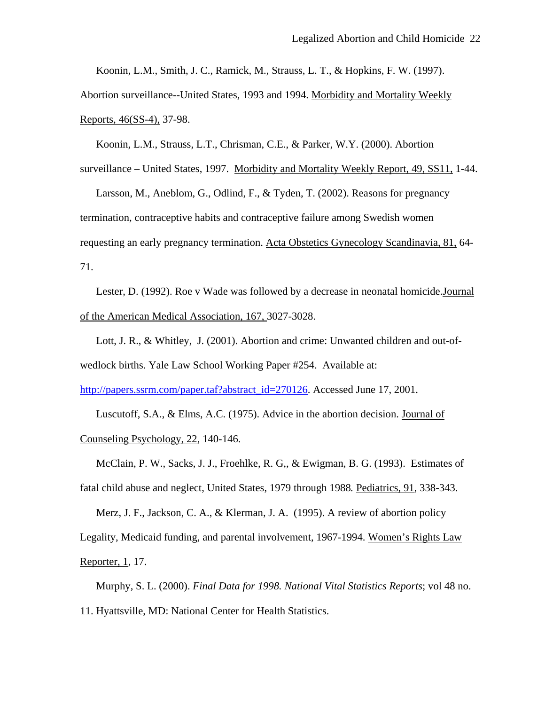Koonin, L.M., Smith, J. C., Ramick, M., Strauss, L. T., & Hopkins, F. W. (1997).

Abortion surveillance--United States, 1993 and 1994. Morbidity and Mortality Weekly Reports, 46(SS-4), 37-98.

Koonin, L.M., Strauss, L.T., Chrisman, C.E., & Parker, W.Y. (2000). Abortion surveillance – United States, 1997. Morbidity and Mortality Weekly Report, 49, SS11, 1-44.

Larsson, M., Aneblom, G., Odlind, F., & Tyden, T. (2002). Reasons for pregnancy termination, contraceptive habits and contraceptive failure among Swedish women requesting an early pregnancy termination. Acta Obstetics Gynecology Scandinavia, 81, 64- 71.

Lester, D. (1992). Roe v Wade was followed by a decrease in neonatal homicide.Journal of the American Medical Association, 167, 3027-3028.

Lott, J. R., & Whitley, J. (2001). Abortion and crime: Unwanted children and out-ofwedlock births. Yale Law School Working Paper #254. Available at:

[http://papers.ssrm.com/paper.taf?abstract\\_id=270126.](http://papers.ssrm.com/paper.taf?abstract_id=270126) Accessed June 17, 2001.

Luscutoff, S.A., & Elms, A.C. (1975). Advice in the abortion decision. Journal of Counseling Psychology, 22, 140-146.

McClain, P. W., Sacks, J. J., Froehlke, R. G,, & Ewigman, B. G. (1993). Estimates of fatal child abuse and neglect, United States, 1979 through 1988*.* Pediatrics, 91*,* 338-343.

Merz, J. F., Jackson, C. A., & Klerman, J. A. (1995). A review of abortion policy

Legality, Medicaid funding, and parental involvement, 1967-1994. Women's Rights Law

Reporter, 1*,* 17.

Murphy, S. L. (2000). *Final Data for 1998. National Vital Statistics Reports*; vol 48 no. 11. Hyattsville, MD: National Center for Health Statistics.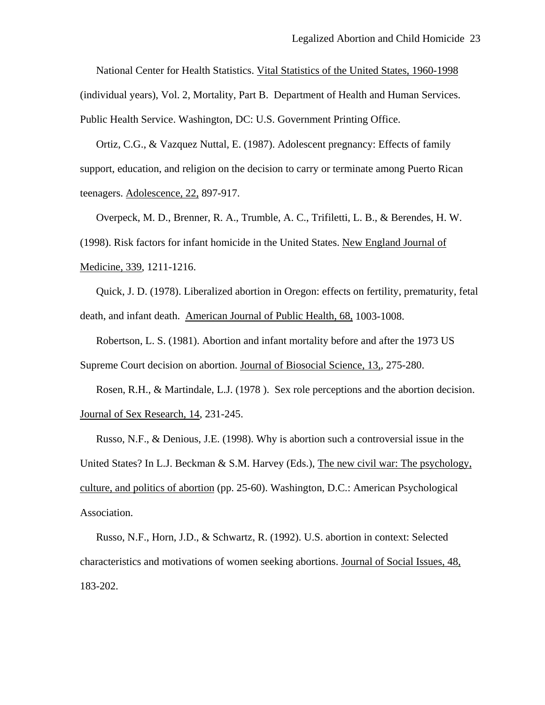National Center for Health Statistics. Vital Statistics of the United States, 1960-1998 (individual years), Vol. 2, Mortality, Part B. Department of Health and Human Services. Public Health Service. Washington, DC: U.S. Government Printing Office.

Ortiz, C.G., & Vazquez Nuttal, E. (1987). Adolescent pregnancy: Effects of family support, education, and religion on the decision to carry or terminate among Puerto Rican teenagers. Adolescence, 22, 897-917.

Overpeck, M. D., Brenner, R. A., Trumble, A. C., Trifiletti, L. B., & Berendes, H. W. (1998). Risk factors for infant homicide in the United States. New England Journal of Medicine, 339, 1211-1216.

Quick, J. D. (1978). Liberalized abortion in Oregon: effects on fertility, prematurity, fetal death, and infant death. American Journal of Public Health, 68, 1003-1008.

Robertson, L. S. (1981). Abortion and infant mortality before and after the 1973 US Supreme Court decision on abortion. Journal of Biosocial Science, 13,*,* 275-280.

Rosen, R.H., & Martindale, L.J. (1978 ). Sex role perceptions and the abortion decision. Journal of Sex Research, 14, 231-245.

Russo, N.F., & Denious, J.E. (1998). Why is abortion such a controversial issue in the United States? In L.J. Beckman & S.M. Harvey (Eds.), The new civil war: The psychology, culture, and politics of abortion (pp. 25-60). Washington, D.C.: American Psychological Association.

Russo, N.F., Horn, J.D., & Schwartz, R. (1992). U.S. abortion in context: Selected characteristics and motivations of women seeking abortions. Journal of Social Issues, 48, 183-202.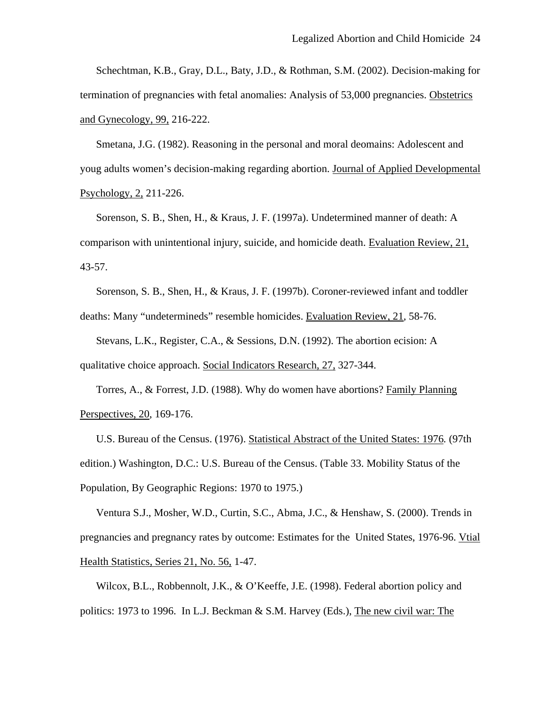Schechtman, K.B., Gray, D.L., Baty, J.D., & Rothman, S.M. (2002). Decision-making for termination of pregnancies with fetal anomalies: Analysis of 53,000 pregnancies. Obstetrics and Gynecology, 99, 216-222.

Smetana, J.G. (1982). Reasoning in the personal and moral deomains: Adolescent and youg adults women's decision-making regarding abortion. Journal of Applied Developmental Psychology, 2, 211-226.

Sorenson, S. B., Shen, H., & Kraus, J. F. (1997a). Undetermined manner of death: A comparison with unintentional injury, suicide, and homicide death. Evaluation Review, 21, 43-57.

Sorenson, S. B., Shen, H., & Kraus, J. F. (1997b). Coroner-reviewed infant and toddler deaths: Many "undetermineds" resemble homicides. Evaluation Review, 21*,* 58-76.

Stevans, L.K., Register, C.A., & Sessions, D.N. (1992). The abortion ecision: A qualitative choice approach. Social Indicators Research, 27, 327-344.

Torres, A., & Forrest, J.D. (1988). Why do women have abortions? Family Planning Perspectives, 20, 169-176.

U.S. Bureau of the Census. (1976). Statistical Abstract of the United States: 1976*.* (97th edition.) Washington, D.C.: U.S. Bureau of the Census. (Table 33. Mobility Status of the Population, By Geographic Regions: 1970 to 1975.)

Ventura S.J., Mosher, W.D., Curtin, S.C., Abma, J.C., & Henshaw, S. (2000). Trends in pregnancies and pregnancy rates by outcome: Estimates for the United States, 1976-96. Vtial Health Statistics, Series 21, No. 56, 1-47.

Wilcox, B.L., Robbennolt, J.K., & O'Keeffe, J.E. (1998). Federal abortion policy and politics: 1973 to 1996. In L.J. Beckman & S.M. Harvey (Eds.), The new civil war: The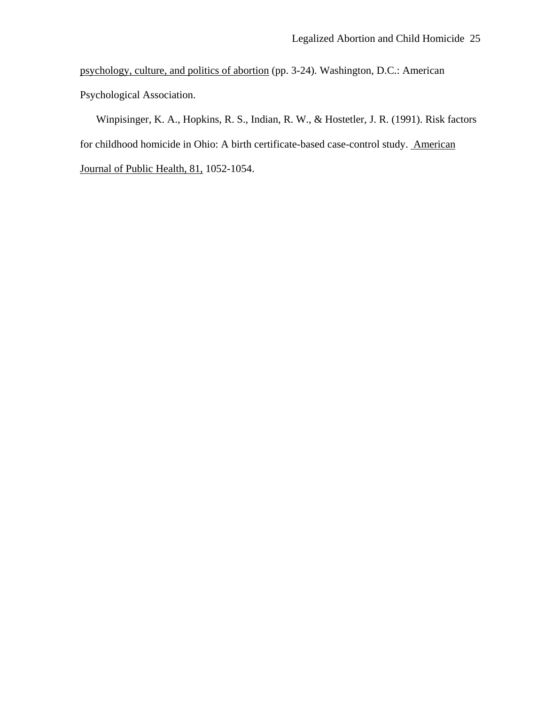psychology, culture, and politics of abortion (pp. 3-24). Washington, D.C.: American Psychological Association.

Winpisinger, K. A., Hopkins, R. S., Indian, R. W., & Hostetler, J. R. (1991). Risk factors for childhood homicide in Ohio: A birth certificate-based case-control study. American Journal of Public Health, 81, 1052-1054.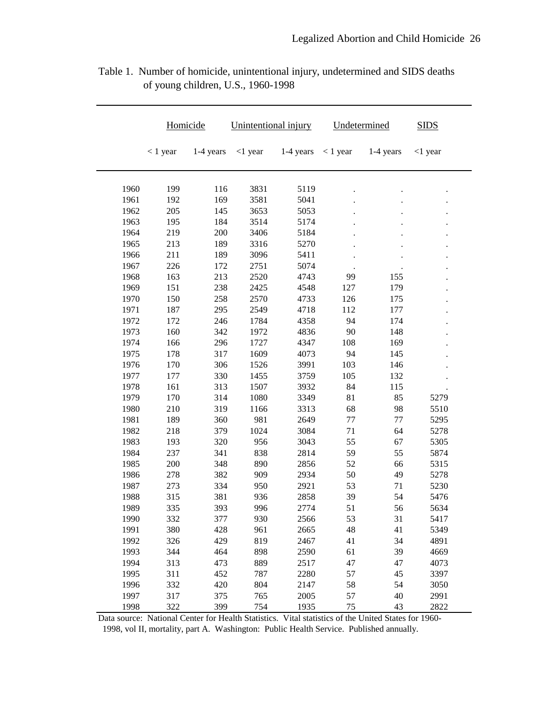|      | Homicide   |           | Unintentional injury |           | Undetermined |           | <b>SIDS</b> |
|------|------------|-----------|----------------------|-----------|--------------|-----------|-------------|
|      | $< 1$ year | 1-4 years | $<$ 1 year           | 1-4 years | $< 1$ year   | 1-4 years | $<$ 1 year  |
| 1960 | 199        | 116       | 3831                 | 5119      |              |           |             |
| 1961 | 192        | 169       | 3581                 | 5041      |              |           |             |
| 1962 | 205        | 145       | 3653                 | 5053      |              |           |             |
| 1963 | 195        | 184       | 3514                 | 5174      |              |           |             |
| 1964 | 219        | 200       | 3406                 | 5184      |              |           |             |
| 1965 | 213        | 189       | 3316                 | 5270      |              |           |             |
| 1966 | 211        | 189       | 3096                 | 5411      |              |           |             |
| 1967 | 226        | 172       | 2751                 | 5074      |              |           |             |
| 1968 | 163        | 213       | 2520                 | 4743      | 99           | 155       |             |
| 1969 | 151        | 238       | 2425                 | 4548      | 127          | 179       |             |
| 1970 | 150        | 258       | 2570                 | 4733      | 126          | 175       |             |
| 1971 | 187        | 295       | 2549                 | 4718      | 112          | 177       |             |
| 1972 | 172        | 246       | 1784                 | 4358      | 94           | 174       |             |
| 1973 | 160        | 342       | 1972                 | 4836      | 90           | 148       |             |
| 1974 | 166        | 296       | 1727                 | 4347      | 108          | 169       |             |
| 1975 | 178        | 317       | 1609                 | 4073      | 94           | 145       |             |
| 1976 | 170        | 306       | 1526                 | 3991      | 103          | 146       |             |
| 1977 | 177        | 330       | 1455                 | 3759      | 105          | 132       |             |
| 1978 | 161        | 313       | 1507                 | 3932      | 84           | 115       |             |
| 1979 | 170        | 314       | 1080                 | 3349      | 81           | 85        | 5279        |
| 1980 | 210        | 319       | 1166                 | 3313      | 68           | 98        | 5510        |
| 1981 | 189        | 360       | 981                  | 2649      | 77           | 77        | 5295        |
| 1982 | 218        | 379       | 1024                 | 3084      | 71           | 64        | 5278        |
| 1983 | 193        | 320       | 956                  | 3043      | 55           | 67        | 5305        |
| 1984 | 237        | 341       | 838                  | 2814      | 59           | 55        | 5874        |
| 1985 | 200        | 348       | 890                  | 2856      | 52           | 66        | 5315        |
| 1986 | 278        | 382       | 909                  | 2934      | 50           | 49        | 5278        |
| 1987 | 273        | 334       | 950                  | 2921      | 53           | 71        | 5230        |
| 1988 | 315        | 381       | 936                  | 2858      | 39           | 54        | 5476        |
| 1989 | 335        | 393       | 996                  | 2774      | 51           | 56        | 5634        |
| 1990 | 332        | 377       | 930                  | 2566      | 53           | 31        | 5417        |
| 1991 | 380        | 428       | 961                  | 2665      | 48           | 41        | 5349        |
| 1992 | 326        | 429       | 819                  | 2467      | 41           | 34        | 4891        |
| 1993 | 344        | 464       | 898                  | 2590      | 61           | 39        | 4669        |
| 1994 | 313        | 473       | 889                  | 2517      | 47           | 47        | 4073        |
| 1995 | 311        | 452       | 787                  | 2280      | 57           | 45        | 3397        |
| 1996 | 332        | 420       | 804                  | 2147      | 58           | 54        | 3050        |
| 1997 | 317        | 375       | 765                  | 2005      | 57           | 40        | 2991        |
| 1998 | 322        | 399       | 754                  | 1935      | 75           | 43        | 2822        |

Table 1. Number of homicide, unintentional injury, undetermined and SIDS deaths of young children, U.S., 1960-1998

Data source: National Center for Health Statistics. Vital statistics of the United States for 1960- 1998, vol II, mortality, part A. Washington: Public Health Service. Published annually.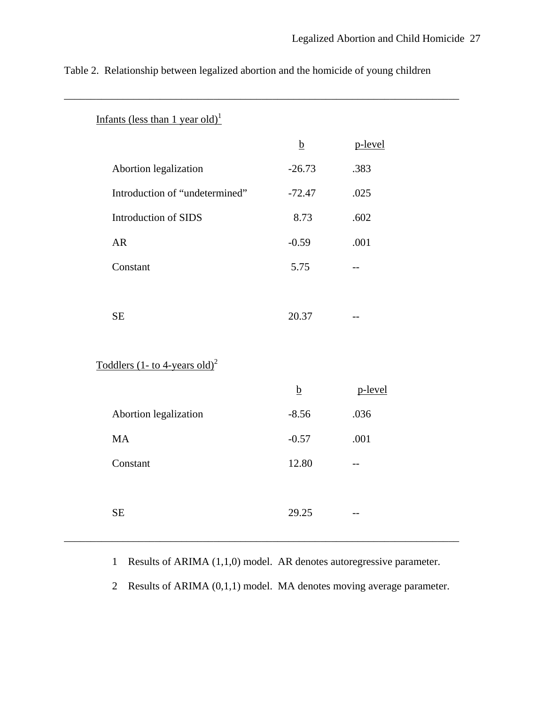| Infants (less than 1 year old) <sup>1</sup>   |                 |         |
|-----------------------------------------------|-----------------|---------|
|                                               | $\underline{b}$ | p-level |
| Abortion legalization                         | $-26.73$        | .383    |
| Introduction of "undetermined"                | $-72.47$        | .025    |
| Introduction of SIDS                          | 8.73            | .602    |
| AR                                            | $-0.59$         | .001    |
| Constant                                      | 5.75            | $-$     |
|                                               |                 |         |
| $\rm SE$                                      | 20.37           |         |
|                                               |                 |         |
| Toddlers $(1 - to 4$ -years old) <sup>2</sup> |                 |         |
|                                               | $\underline{b}$ | p-level |
| Abortion legalization                         | $-8.56$         | .036    |
| $\rm MA$                                      | $-0.57$         | .001    |
| Constant                                      | 12.80           | $- -$   |
|                                               |                 |         |
| SE                                            | 29.25           | $-$     |
|                                               |                 |         |

Table 2. Relationship between legalized abortion and the homicide of young children

\_\_\_\_\_\_\_\_\_\_\_\_\_\_\_\_\_\_\_\_\_\_\_\_\_\_\_\_\_\_\_\_\_\_\_\_\_\_\_\_\_\_\_\_\_\_\_\_\_\_\_\_\_\_\_\_\_\_\_\_\_\_\_\_\_\_\_\_\_\_\_\_\_\_

1 Results of ARIMA (1,1,0) model. AR denotes autoregressive parameter.

2 Results of ARIMA (0,1,1) model. MA denotes moving average parameter.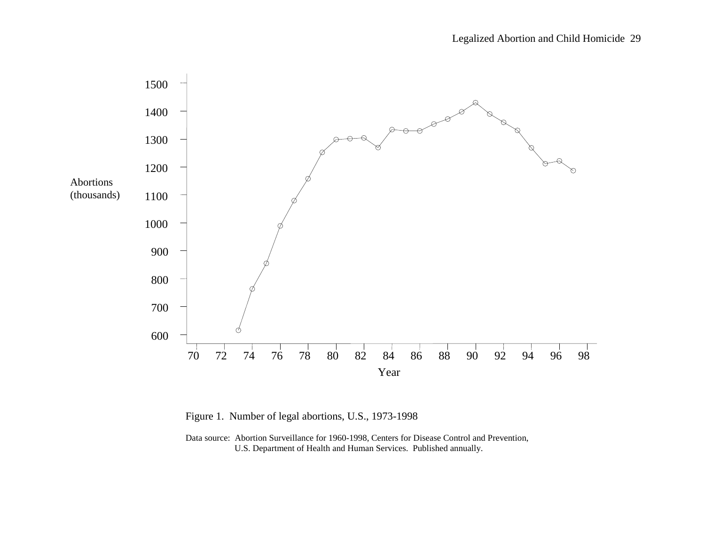

Figure 1. Number of legal abortions, U.S., 1973-1998

Data source: Abortion Surveillance for 1960-1998, Centers for Disease Control and Prevention, U.S. Department of Health and Human Services. Published annually.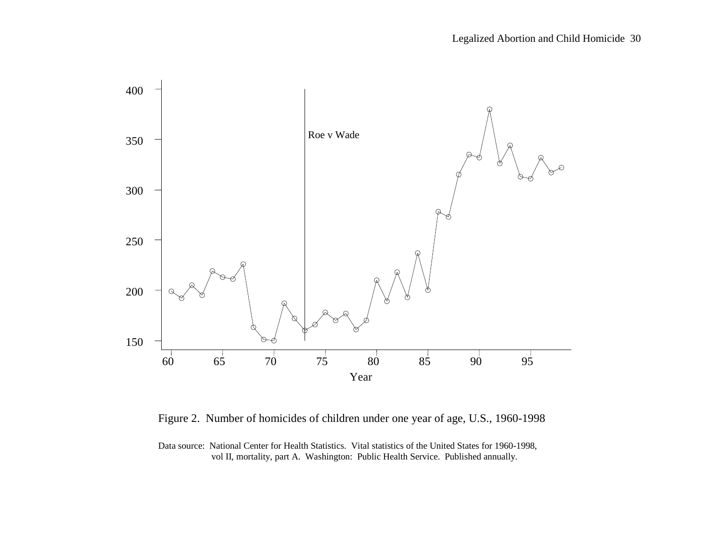

Figure 2. Number of homicides of children under one year of age, U.S., 1960-1998

Data source: National Center for Health Statistics. Vital statistics of the United States for 1960-1998, vol II, mortality, part A. Washington: Public Health Service. Published annually.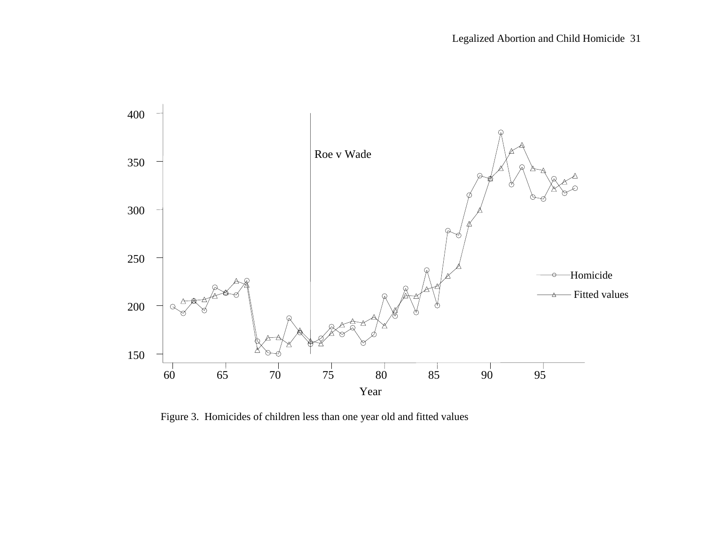

Figure 3. Homicides of children less than one year old and fitted values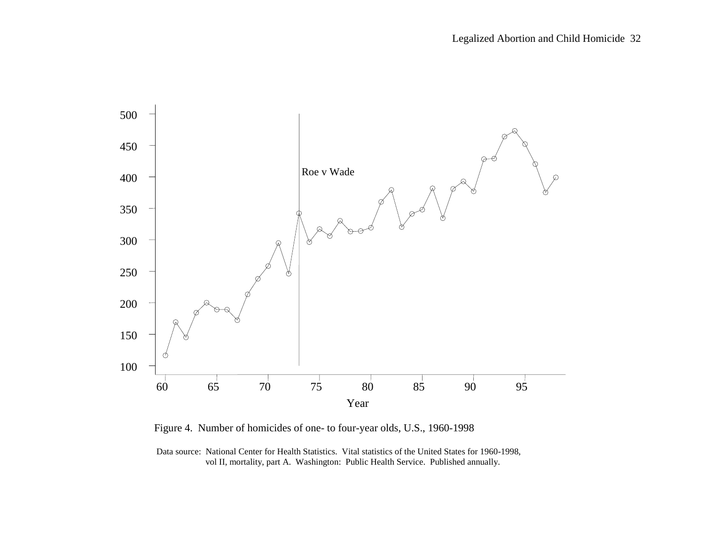

Figure 4. Number of homicides of one- to four-year olds, U.S., 1960-1998

 Data source: National Center for Health Statistics. Vital statistics of the United States for 1960-1998, vol II, mortality, part A. Washington: Public Health Service. Published annually.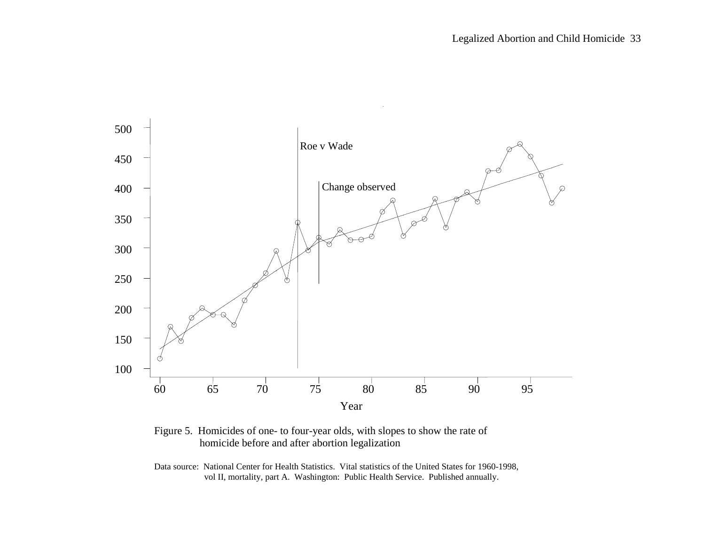

Figure 5. Homicides of one- to four-year olds, with slopes to show the rate of homicide before and after abortion legalization

Data source: National Center for Health Statistics. Vital statistics of the United States for 1960-1998, vol II, mortality, part A. Washington: Public Health Service. Published annually.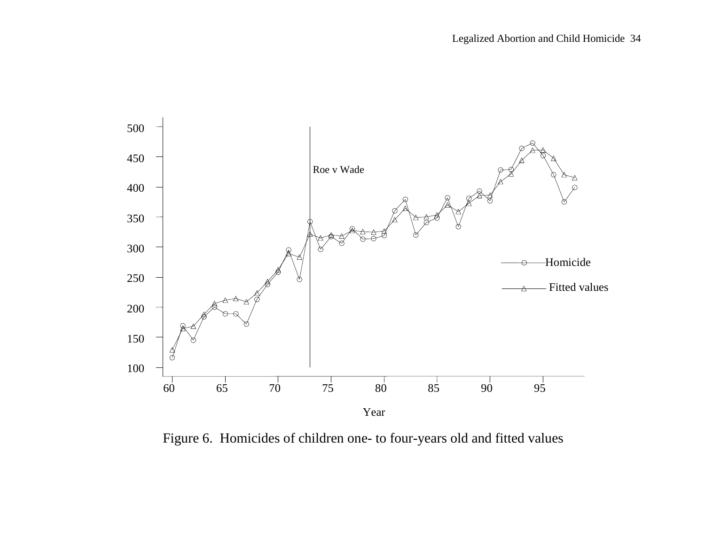

Figure 6. Homicides of children one- to four-years old and fitted values